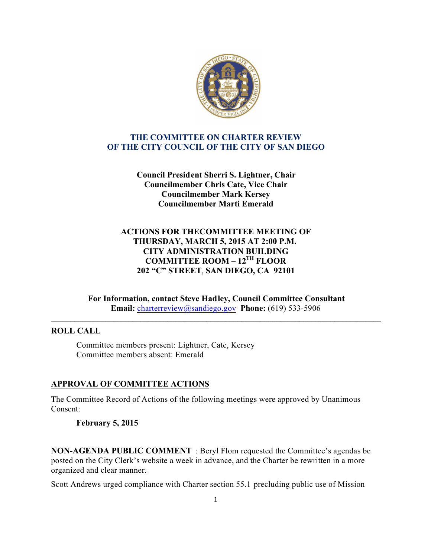

### **THE COMMITTEE ON CHARTER REVIEW OF THE CITY COUNCIL OF THE CITY OF SAN DIEGO**

**Council President Sherri S. Lightner, Chair Councilmember Chris Cate, Vice Chair Councilmember Mark Kersey Councilmember Marti Emerald**

# **ACTIONS FOR THECOMMITTEE MEETING OF THURSDAY, MARCH 5, 2015 AT 2:00 P.M. CITY ADMINISTRATION BUILDING COMMITTEE ROOM – 12TH FLOOR 202 "C" STREET**, **SAN DIEGO, CA 92101**

**For Information, contact Steve Hadley, Council Committee Consultant Email:** charterreview@sandiego.gov **Phone:** (619) 533-5906

**\_\_\_\_\_\_\_\_\_\_\_\_\_\_\_\_\_\_\_\_\_\_\_\_\_\_\_\_\_\_\_\_\_\_\_\_\_\_\_\_\_\_\_\_\_\_\_\_\_\_\_\_\_\_\_\_\_\_\_\_\_\_\_\_\_\_\_\_\_\_\_\_\_\_\_\_\_\_\_\_\_\_\_\_\_**

### **ROLL CALL**

Committee members present: Lightner, Cate, Kersey Committee members absent: Emerald

### **APPROVAL OF COMMITTEE ACTIONS**

The Committee Record of Actions of the following meetings were approved by Unanimous Consent:

### **February 5, 2015**

**NON-AGENDA PUBLIC COMMENT** : Beryl Flom requested the Committee's agendas be posted on the City Clerk's website a week in advance, and the Charter be rewritten in a more organized and clear manner.

Scott Andrews urged compliance with Charter section 55.1 precluding public use of Mission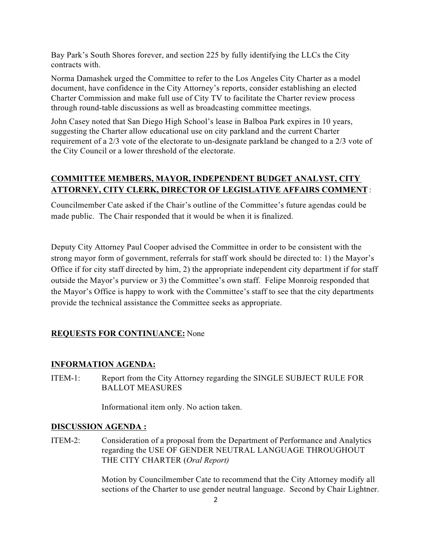Bay Park's South Shores forever, and section 225 by fully identifying the LLCs the City contracts with.

Norma Damashek urged the Committee to refer to the Los Angeles City Charter as a model document, have confidence in the City Attorney's reports, consider establishing an elected Charter Commission and make full use of City TV to facilitate the Charter review process through round-table discussions as well as broadcasting committee meetings.

John Casey noted that San Diego High School's lease in Balboa Park expires in 10 years, suggesting the Charter allow educational use on city parkland and the current Charter requirement of a 2/3 vote of the electorate to un-designate parkland be changed to a 2/3 vote of the City Council or a lower threshold of the electorate.

# **COMMITTEE MEMBERS, MAYOR, INDEPENDENT BUDGET ANALYST, CITY ATTORNEY, CITY CLERK, DIRECTOR OF LEGISLATIVE AFFAIRS COMMENT** :

Councilmember Cate asked if the Chair's outline of the Committee's future agendas could be made public. The Chair responded that it would be when it is finalized.

Deputy City Attorney Paul Cooper advised the Committee in order to be consistent with the strong mayor form of government, referrals for staff work should be directed to: 1) the Mayor's Office if for city staff directed by him, 2) the appropriate independent city department if for staff outside the Mayor's purview or 3) the Committee's own staff. Felipe Monroig responded that the Mayor's Office is happy to work with the Committee's staff to see that the city departments provide the technical assistance the Committee seeks as appropriate.

# **REQUESTS FOR CONTINUANCE:** None

# **INFORMATION AGENDA:**

ITEM-1: Report from the City Attorney regarding the SINGLE SUBJECT RULE FOR BALLOT MEASURES

Informational item only. No action taken.

#### **DISCUSSION AGENDA :**

ITEM-2: Consideration of a proposal from the Department of Performance and Analytics regarding the USE OF GENDER NEUTRAL LANGUAGE THROUGHOUT THE CITY CHARTER (*Oral Report)*

> Motion by Councilmember Cate to recommend that the City Attorney modify all sections of the Charter to use gender neutral language. Second by Chair Lightner.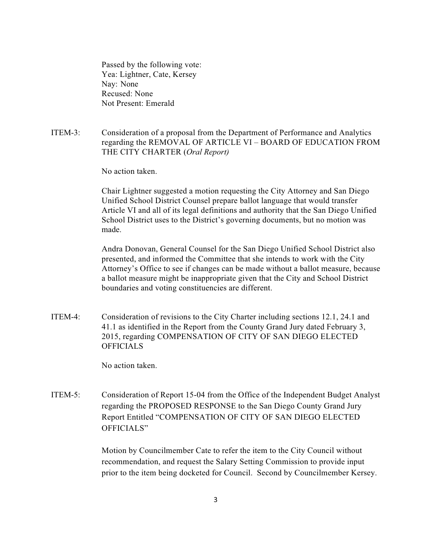Passed by the following vote: Yea: Lightner, Cate, Kersey Nay: None Recused: None Not Present: Emerald

ITEM-3: Consideration of a proposal from the Department of Performance and Analytics regarding the REMOVAL OF ARTICLE VI – BOARD OF EDUCATION FROM THE CITY CHARTER (*Oral Report)*

No action taken.

Chair Lightner suggested a motion requesting the City Attorney and San Diego Unified School District Counsel prepare ballot language that would transfer Article VI and all of its legal definitions and authority that the San Diego Unified School District uses to the District's governing documents, but no motion was made.

 Andra Donovan, General Counsel for the San Diego Unified School District also presented, and informed the Committee that she intends to work with the City Attorney's Office to see if changes can be made without a ballot measure, because a ballot measure might be inappropriate given that the City and School District boundaries and voting constituencies are different.

ITEM-4: Consideration of revisions to the City Charter including sections 12.1, 24.1 and 41.1 as identified in the Report from the County Grand Jury dated February 3, 2015, regarding COMPENSATION OF CITY OF SAN DIEGO ELECTED **OFFICIALS** 

No action taken.

ITEM-5: Consideration of Report 15-04 from the Office of the Independent Budget Analyst regarding the PROPOSED RESPONSE to the San Diego County Grand Jury Report Entitled "COMPENSATION OF CITY OF SAN DIEGO ELECTED OFFICIALS"

> Motion by Councilmember Cate to refer the item to the City Council without recommendation, and request the Salary Setting Commission to provide input prior to the item being docketed for Council. Second by Councilmember Kersey.